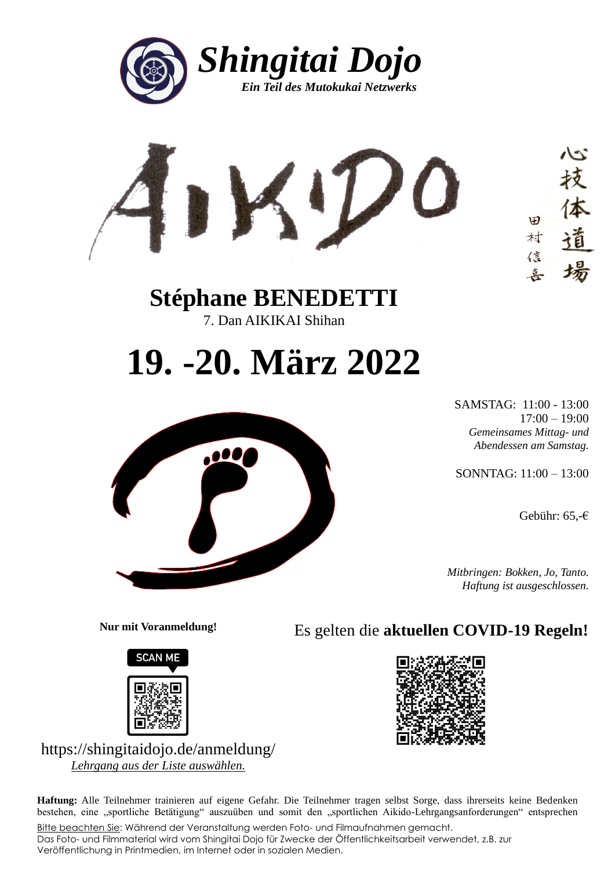



**Stéphane BENEDETTI** 7. Dan AIKIKAI Shihan

## **19. -20. März 2022**



SAMSTAG: 11:00 - 13:00 17:00 – 19:00 *Gemeinsames Mittag- und Abendessen am Samstag.*

SONNTAG: 11:00 – 13:00

Gebühr: 65,-€

*Mitbringen: Bokken, Jo, Tanto. Haftung ist ausgeschlossen.*

**Nur mit Voranmeldung!**



Es gelten die **aktuellen COVID-19 Regeln!**



https://shingitaidojo.de/anmeldung/ *Lehrgang aus der Liste auswählen.*

**Haftung:** Alle Teilnehmer trainieren auf eigene Gefahr. Die Teilnehmer tragen selbst Sorge, dass ihrerseits keine Bedenken bestehen, eine "sportliche Betätigung" auszuüben und somit den "sportlichen Aikido-Lehrgangsanforderungen" entsprechen

Bitte beachten Sie: Während der Veranstaltung werden Foto- und Filmaufnahmen gemacht. Das Foto- und Filmmaterial wird vom Shingitai Dojo für Zwecke der Öffentlichkeitsarbeit verwendet, z.B. zur Veröffentlichung in Printmedien, im Internet oder in sozialen Medien.